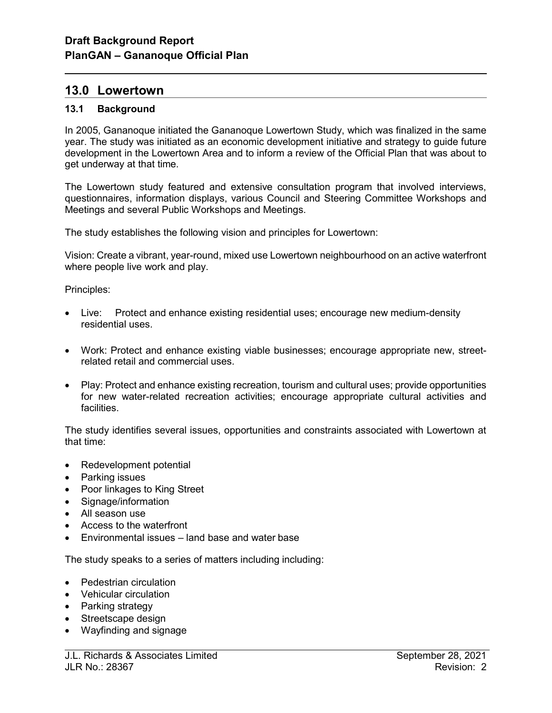## 13.0 Lowertown

## 13.1 Background

l

In 2005, Gananoque initiated the Gananoque Lowertown Study, which was finalized in the same year. The study was initiated as an economic development initiative and strategy to guide future development in the Lowertown Area and to inform a review of the Official Plan that was about to get underway at that time.

The Lowertown study featured and extensive consultation program that involved interviews, questionnaires, information displays, various Council and Steering Committee Workshops and Meetings and several Public Workshops and Meetings.

The study establishes the following vision and principles for Lowertown:

Vision: Create a vibrant, year-round, mixed use Lowertown neighbourhood on an active waterfront where people live work and play.

Principles:

- Live: Protect and enhance existing residential uses; encourage new medium-density residential uses.
- Work: Protect and enhance existing viable businesses; encourage appropriate new, streetrelated retail and commercial uses.
- Play: Protect and enhance existing recreation, tourism and cultural uses; provide opportunities for new water-related recreation activities; encourage appropriate cultural activities and facilities.

The study identifies several issues, opportunities and constraints associated with Lowertown at that time:

- Redevelopment potential
- Parking issues
- Poor linkages to King Street
- Signage/information
- All season use
- Access to the waterfront
- Environmental issues land base and water base

The study speaks to a series of matters including including:

- Pedestrian circulation
- Vehicular circulation
- Parking strategy
- Streetscape design
- Wayfinding and signage